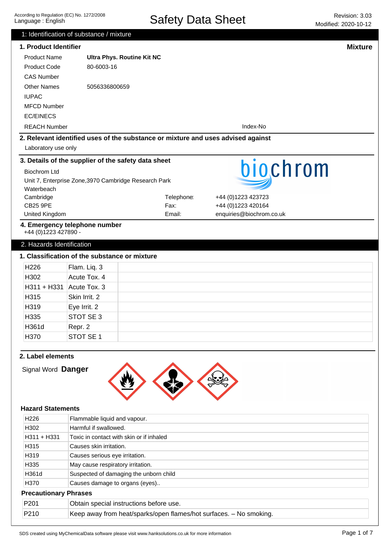Safety Data Sheet Revision: 3.03

|                           | 1: Identification of substance / mixture      |                                                                                  |                          | IVIUUIIIGU. ZUZU" IU" IZ |
|---------------------------|-----------------------------------------------|----------------------------------------------------------------------------------|--------------------------|--------------------------|
| 1. Product Identifier     |                                               |                                                                                  |                          | <b>Mixture</b>           |
| <b>Product Name</b>       |                                               | <b>Ultra Phys. Routine Kit NC</b>                                                |                          |                          |
| <b>Product Code</b>       | 80-6003-16                                    |                                                                                  |                          |                          |
| <b>CAS Number</b>         |                                               |                                                                                  |                          |                          |
|                           |                                               |                                                                                  |                          |                          |
| <b>Other Names</b>        | 5056336800659                                 |                                                                                  |                          |                          |
| <b>IUPAC</b>              |                                               |                                                                                  |                          |                          |
| <b>MFCD Number</b>        |                                               |                                                                                  |                          |                          |
| <b>EC/EINECS</b>          |                                               |                                                                                  |                          |                          |
| <b>REACH Number</b>       |                                               |                                                                                  | Index-No                 |                          |
|                           |                                               | 2. Relevant identified uses of the substance or mixture and uses advised against |                          |                          |
| Laboratory use only       |                                               |                                                                                  |                          |                          |
|                           |                                               | 3. Details of the supplier of the safety data sheet                              |                          |                          |
| <b>Biochrom Ltd</b>       |                                               |                                                                                  | biochrom                 |                          |
|                           |                                               | Unit 7, Enterprise Zone, 3970 Cambridge Research Park                            |                          |                          |
| Waterbeach                |                                               |                                                                                  |                          |                          |
| Cambridge                 |                                               | Telephone:                                                                       | +44 (0)1223 423723       |                          |
| <b>CB25 9PE</b>           |                                               | Fax:                                                                             | +44 (0)1223 420164       |                          |
| United Kingdom            |                                               | Email:                                                                           | enquiries@biochrom.co.uk |                          |
| +44 (0) 1223 427890 -     | 4. Emergency telephone number                 |                                                                                  |                          |                          |
| 2. Hazards Identification |                                               |                                                                                  |                          |                          |
|                           | 1. Classification of the substance or mixture |                                                                                  |                          |                          |
| H226                      | Flam. Liq. 3                                  |                                                                                  |                          |                          |
| H302                      | Acute Tox. 4                                  |                                                                                  |                          |                          |
| H311 + H331               | Acute Tox. 3                                  |                                                                                  |                          |                          |
| H315                      | Skin Irrit. 2                                 |                                                                                  |                          |                          |
| H319                      | Eye Irrit. 2                                  |                                                                                  |                          |                          |
| H335                      | STOT SE 3                                     |                                                                                  |                          |                          |
| H361d                     | Repr. 2                                       |                                                                                  |                          |                          |
| H370                      | STOT SE 1                                     |                                                                                  |                          |                          |
|                           |                                               |                                                                                  |                          |                          |
|                           |                                               |                                                                                  |                          |                          |
| 2. Label elements         |                                               |                                                                                  |                          |                          |
| Signal Word Danger        |                                               |                                                                                  |                          |                          |
|                           |                                               |                                                                                  |                          |                          |
|                           |                                               |                                                                                  |                          |                          |
|                           |                                               |                                                                                  |                          |                          |
| <b>Hazard Statements</b>  |                                               |                                                                                  |                          |                          |
| H <sub>226</sub>          | Flammable liquid and vapour.                  |                                                                                  |                          |                          |
| H302                      | Harmful if swallowed.                         |                                                                                  |                          |                          |
| H311 + H331               |                                               | Toxic in contact with skin or if inhaled                                         |                          |                          |
| H315                      | Causes skin irritation.                       |                                                                                  |                          |                          |
| H319                      | Causes serious eye irritation.                |                                                                                  |                          |                          |
| H335                      | May cause respiratory irritation.             |                                                                                  |                          |                          |
| H361d                     |                                               | Suspected of damaging the unborn child                                           |                          |                          |
| H370                      | Causes damage to organs (eyes)                |                                                                                  |                          |                          |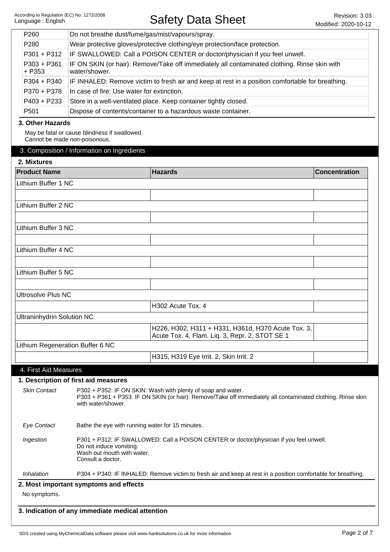| P260                              | Do not breathe dust/fume/gas/mist/vapours/spray.                                                                                                                      |                                                                                                               |                      |
|-----------------------------------|-----------------------------------------------------------------------------------------------------------------------------------------------------------------------|---------------------------------------------------------------------------------------------------------------|----------------------|
| P <sub>280</sub>                  |                                                                                                                                                                       | Wear protective gloves/protective clothing/eye protection/face protection.                                    |                      |
| P301 + P312                       | IF SWALLOWED: Call a POISON CENTER or doctor/physician if you feel unwell.                                                                                            |                                                                                                               |                      |
| $P303 + P361$<br>+ P353           | IF ON SKIN (or hair): Remove/Take off immediately all contaminated clothing. Rinse skin with<br>water/shower.                                                         |                                                                                                               |                      |
| $P304 + P340$                     |                                                                                                                                                                       | IF INHALED: Remove victim to fresh air and keep at rest in a position comfortable for breathing.              |                      |
| P370 + P378                       | In case of fire: Use water for extinction.                                                                                                                            |                                                                                                               |                      |
| $P403 + P233$                     | Store in a well-ventilated place. Keep container tightly closed.                                                                                                      |                                                                                                               |                      |
| P <sub>501</sub>                  | Dispose of contents/container to a hazardous waste container.                                                                                                         |                                                                                                               |                      |
| 3. Other Hazards                  |                                                                                                                                                                       |                                                                                                               |                      |
|                                   | May be fatal or cause blindness if swallowed.<br>Cannot be made non-poisonous.                                                                                        |                                                                                                               |                      |
| 2. Mixtures                       | 3. Composition / Information on Ingredients                                                                                                                           |                                                                                                               |                      |
| <b>Product Name</b>               |                                                                                                                                                                       | <b>Hazards</b>                                                                                                | <b>Concentration</b> |
| Lithium Buffer 1 NC               |                                                                                                                                                                       |                                                                                                               |                      |
|                                   |                                                                                                                                                                       |                                                                                                               |                      |
| Lithium Buffer 2 NC               |                                                                                                                                                                       |                                                                                                               |                      |
|                                   |                                                                                                                                                                       |                                                                                                               |                      |
|                                   |                                                                                                                                                                       |                                                                                                               |                      |
| Lithium Buffer 3 NC               |                                                                                                                                                                       |                                                                                                               |                      |
|                                   |                                                                                                                                                                       |                                                                                                               |                      |
| Lithium Buffer 4 NC               |                                                                                                                                                                       |                                                                                                               |                      |
|                                   |                                                                                                                                                                       |                                                                                                               |                      |
| Lithium Buffer 5 NC               |                                                                                                                                                                       |                                                                                                               |                      |
|                                   |                                                                                                                                                                       |                                                                                                               |                      |
| <b>Ultrosolve Plus NC</b>         |                                                                                                                                                                       |                                                                                                               |                      |
|                                   |                                                                                                                                                                       | H302 Acute Tox. 4                                                                                             |                      |
| <b>Ultraninhydrin Solution NC</b> |                                                                                                                                                                       |                                                                                                               |                      |
|                                   |                                                                                                                                                                       |                                                                                                               |                      |
|                                   |                                                                                                                                                                       | H226, H302, H311 + H331, H361d, H370 Acute Tox. 3,<br>Acute Tox. 4, Flam. Liq. 3, Repr. 2, STOT SE 1          |                      |
|                                   | Lithium Regeneration Buffer 6 NC                                                                                                                                      |                                                                                                               |                      |
|                                   |                                                                                                                                                                       | H315, H319 Eye Irrit. 2, Skin Irrit. 2                                                                        |                      |
|                                   |                                                                                                                                                                       |                                                                                                               |                      |
| 4. First Aid Measures             |                                                                                                                                                                       |                                                                                                               |                      |
|                                   | 1. Description of first aid measures                                                                                                                                  |                                                                                                               |                      |
| <b>Skin Contact</b>               | P302 + P352: IF ON SKIN: Wash with plenty of soap and water.<br>with water/shower.                                                                                    | P303 + P361 + P353: IF ON SKIN (or hair): Remove/Take off immediately all contaminated clothing. Rinse skin   |                      |
| <b>Eye Contact</b>                | Bathe the eye with running water for 15 minutes.                                                                                                                      |                                                                                                               |                      |
| Ingestion                         | P301 + P312: IF SWALLOWED: Call a POISON CENTER or doctor/physician if you feel unwell.<br>Do not induce vomiting.<br>Wash out mouth with water.<br>Consult a doctor. |                                                                                                               |                      |
| Inhalation                        |                                                                                                                                                                       | P304 + P340: IF INHALED: Remove victim to fresh air and keep at rest in a position comfortable for breathing. |                      |
|                                   | 2. Most important symptoms and effects                                                                                                                                |                                                                                                               |                      |
| No symptoms.                      |                                                                                                                                                                       |                                                                                                               |                      |

**3. Indication of any immediate medical attention**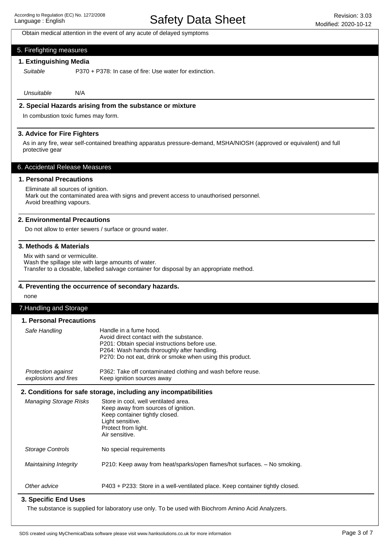Obtain medical attention in the event of any acute of delayed symptoms

#### 5. Firefighting measures

## **1. Extinguishing Media**

Suitable

P370 + P378: In case of fire: Use water for extinction.

Unsuitable N/A

#### **2. Special Hazards arising from the substance or mixture**

In combustion toxic fumes may form.

#### **3. Advice for Fire Fighters**

As in any fire, wear self-contained breathing apparatus pressure-demand, MSHA/NIOSH (approved or equivalent) and full protective gear

#### 6. Accidental Release Measures

#### **1. Personal Precautions**

## Eliminate all sources of ignition.

Mark out the contaminated area with signs and prevent access to unauthorised personnel. Avoid breathing vapours.

#### **2. Environmental Precautions**

Do not allow to enter sewers / surface or ground water.

#### **3. Methods & Materials**

Mix with sand or vermiculite. Wash the spillage site with large amounts of water. Transfer to a closable, labelled salvage container for disposal by an appropriate method.

#### **4. Preventing the occurrence of secondary hazards.**

none

#### 7.Handling and Storage

#### **1. Personal Precautions**

| 1. Personal Precautions                    |                                                                                                                                                                                                                                 |  |  |  |
|--------------------------------------------|---------------------------------------------------------------------------------------------------------------------------------------------------------------------------------------------------------------------------------|--|--|--|
| Safe Handling                              | Handle in a fume hood.<br>Avoid direct contact with the substance.<br>P201: Obtain special instructions before use.<br>P264: Wash hands thoroughly after handling.<br>P270: Do not eat, drink or smoke when using this product. |  |  |  |
| Protection against<br>explosions and fires | P362: Take off contaminated clothing and wash before reuse.<br>Keep ignition sources away                                                                                                                                       |  |  |  |
|                                            | 2. Conditions for safe storage, including any incompatibilities                                                                                                                                                                 |  |  |  |
| <b>Managing Storage Risks</b>              | Store in cool, well ventilated area.<br>Keep away from sources of ignition.<br>Keep container tightly closed.<br>Light sensitive.<br>Protect from light.<br>Air sensitive.                                                      |  |  |  |
| <b>Storage Controls</b>                    | No special requirements                                                                                                                                                                                                         |  |  |  |
| Maintaining Integrity                      | P210: Keep away from heat/sparks/open flames/hot surfaces. - No smoking.                                                                                                                                                        |  |  |  |
| Other advice                               | P403 + P233: Store in a well-ventilated place. Keep container tightly closed.                                                                                                                                                   |  |  |  |
| 3. Specific End Uses                       |                                                                                                                                                                                                                                 |  |  |  |

The substance is supplied for laboratory use only. To be used with Biochrom Amino Acid Analyzers.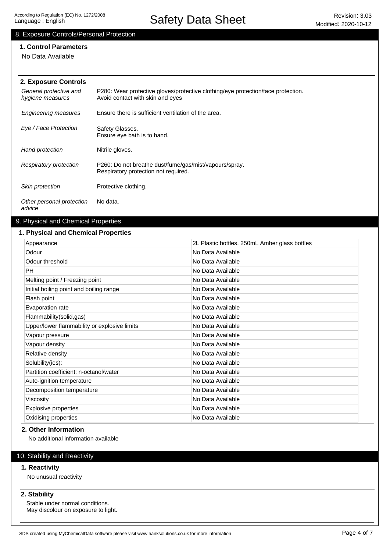# Safety Data Sheet Revision: 3.03

# 8. Exposure Controls/Personal Protection

# **1. Control Parameters**

No Data Available

| 2. Exposure Controls                       |                                                                                                                      |
|--------------------------------------------|----------------------------------------------------------------------------------------------------------------------|
| General protective and<br>hygiene measures | P280: Wear protective gloves/protective clothing/eye protection/face protection.<br>Avoid contact with skin and eyes |
| <b>Engineering measures</b>                | Ensure there is sufficient ventilation of the area.                                                                  |
| Eye / Face Protection                      | Safety Glasses.<br>Ensure eye bath is to hand.                                                                       |
| Hand protection                            | Nitrile gloves.                                                                                                      |
| Respiratory protection                     | P260: Do not breathe dust/fume/gas/mist/vapours/spray.<br>Respiratory protection not required.                       |
| Skin protection                            | Protective clothing.                                                                                                 |
| Other personal protection<br>advice        | No data.                                                                                                             |

## 9. Physical and Chemical Properties

## **1. Physical and Chemical Properties**

| Appearance                                   | 2L Plastic bottles. 250mL Amber glass bottles |
|----------------------------------------------|-----------------------------------------------|
| Odour                                        | No Data Available                             |
| Odour threshold                              | No Data Available                             |
| PH                                           | No Data Available                             |
| Melting point / Freezing point               | No Data Available                             |
| Initial boiling point and boiling range      | No Data Available                             |
| Flash point                                  | No Data Available                             |
| Evaporation rate                             | No Data Available                             |
| Flammability(solid,gas)                      | No Data Available                             |
| Upper/lower flammability or explosive limits | No Data Available                             |
| Vapour pressure                              | No Data Available                             |
| Vapour density                               | No Data Available                             |
| Relative density                             | No Data Available                             |
| Solubility(ies):                             | No Data Available                             |
| Partition coefficient: n-octanol/water       | No Data Available                             |
| Auto-ignition temperature                    | No Data Available                             |
| Decomposition temperature                    | No Data Available                             |
| Viscosity                                    | No Data Available                             |
| <b>Explosive properties</b>                  | No Data Available                             |
| Oxidising properties                         | No Data Available                             |

## **2. Other Information**

No additional information available

# 10. Stability and Reactivity

#### **1. Reactivity**

No unusual reactivity

## **2. Stability**

Stable under normal conditions. May discolour on exposure to light.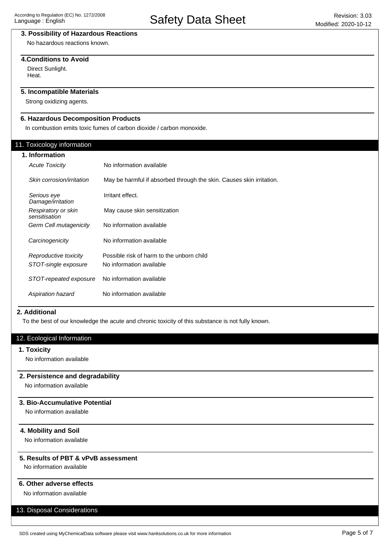## **3. Possibility of Hazardous Reactions**

No hazardous reactions known.

## **4.Conditions to Avoid**

Direct Sunlight. Heat.

# **5. Incompatible Materials**

Strong oxidizing agents.

## **6. Hazardous Decomposition Products**

In combustion emits toxic fumes of carbon dioxide / carbon monoxide.

## 11. Toxicology information

#### **1. Information**

| <b>Acute Toxicity</b>                | No information available                                             |
|--------------------------------------|----------------------------------------------------------------------|
| Skin corrosion/irritation            | May be harmful if absorbed through the skin. Causes skin irritation. |
| Serious eve<br>Damage/irritation     | Irritant effect.                                                     |
| Respiratory or skin<br>sensitisation | May cause skin sensitization                                         |
| Germ Cell mutagenicity               | No information available                                             |
| Carcinogenicity                      | No information available                                             |
| Reproductive toxicity                | Possible risk of harm to the unborn child                            |
| STOT-single exposure                 | No information available                                             |
| STOT-repeated exposure               | No information available                                             |
| Aspiration hazard                    | No information available                                             |

#### **2. Additional**

To the best of our knowledge the acute and chronic toxicity of this substance is not fully known.

## 12. Ecological Information

#### **1. Toxicity**

No information available

#### **2. Persistence and degradability**

No information available

## **3. Bio-Accumulative Potential**

No information available

#### **4. Mobility and Soil**

No information available

## **5. Results of PBT & vPvB assessment**

No information available

## **6. Other adverse effects**

No information available

# 13. Disposal Considerations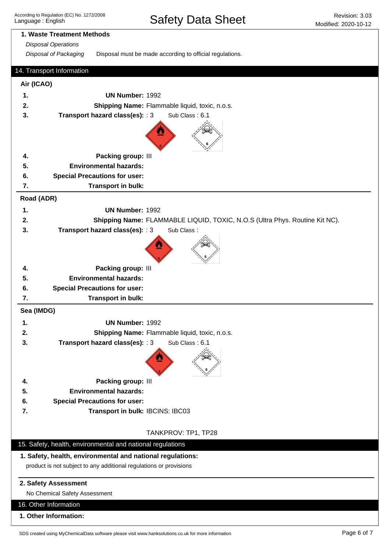Safety Data Sheet Revision: 3.03

# **1. Waste Treatment Methods** Disposal of Packaging Disposal must be made according to official regulations. Disposal Operations 15. Safety, health, environmental and national regulations **1. Safety, health, environmental and national regulations:** product is not subject to any additional regulations or provisions **2. Safety Assessment** No Chemical Safety Assessment 16. Other Information **1. Other Information:** 14. Transport Information **Air (ICAO) Road (ADR) 1. UN Number:** 1992 **2. Shipping Name:** Flammable liquid, toxic, n.o.s. **3. Transport hazard class(es):** : 3 Sub Class : 6.1 **4. Packing group:** III **5. Environmental hazards: 6. Special Precautions for user: 7. Transport in bulk: Sea (IMDG) 1. UN Number:** 1992 **2. Shipping Name:** Flammable liquid, toxic, n.o.s. **3. Transport hazard class(es):** : 3 Sub Class : 6.1 **4. Packing group:** III **5. Environmental hazards: 6. Special Precautions for user: 7. Transport in bulk:** IBCINS: IBC03 TANKPROV: TP1, TP28 **1. UN Number:** 1992 **2. Shipping Name:** FLAMMABLE LIQUID, TOXIC, N.O.S (Ultra Phys. Routine Kit NC). **3. Transport hazard class(es):** : 3 Sub Class : **4. Packing group:** III **5. Environmental hazards: 6. Special Precautions for user: 7. Transport in bulk:**